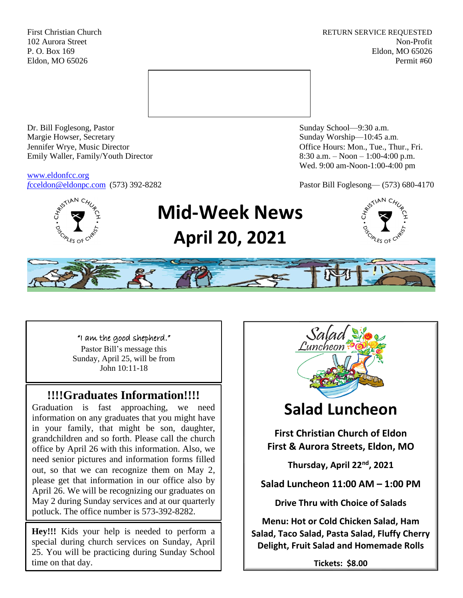First Christian Church **RETURN SERVICE REQUESTED** 102 Aurora Street Non-Profit P. O. Box 169 Eldon, MO 65026 Eldon, MO 65026 Permit #60



Dr. Bill Foglesong, Pastor Sunday School—9:30 a.m. Margie Howser, Secretary Sunday Worship—10:45 a.m. Jennifer Wrye, Music Director Office Hours: Mon., Tue., Thur., Fri. Emily Waller, Family/Youth Director 8:30 a.m. – Noon – 1:00-4:00 p.m.

[www.eldonfcc.org](http://www.eldonfcc.org/)

Wed. 9:00 am-Noon-1:00-4:00 pm

*f*[cceldon@eldonpc.com](mailto:fcceldon@eldonpc.com) (573) 392-8282 Pastor Bill Foglesong— (573) 680-4170



# **Mid-Week News April 20, 2021**





"I am the good shepherd."

Pastor Bill's message this Sunday, April 25, will be from John 10:11-18

## **!!!!Graduates Information!!!!**

Graduation is fast approaching, we need information on any graduates that you might have in your family, that might be son, daughter, grandchildren and so forth. Please call the church office by April 26 with this information. Also, we need senior pictures and information forms filled out, so that we can recognize them on May 2, please get that information in our office also by April 26. We will be recognizing our graduates on May 2 during Sunday services and at our quarterly potluck. The office number is 573-392-8282.

**Hey!!!** Kids your help is needed to perform a special during church services on Sunday, April 25. You will be practicing during Sunday School time on that day.



**Salad, Taco Salad, Pasta Salad, Fluffy Cherry Delight, Fruit Salad and Homemade Rolls**

**Tickets: \$8.00**